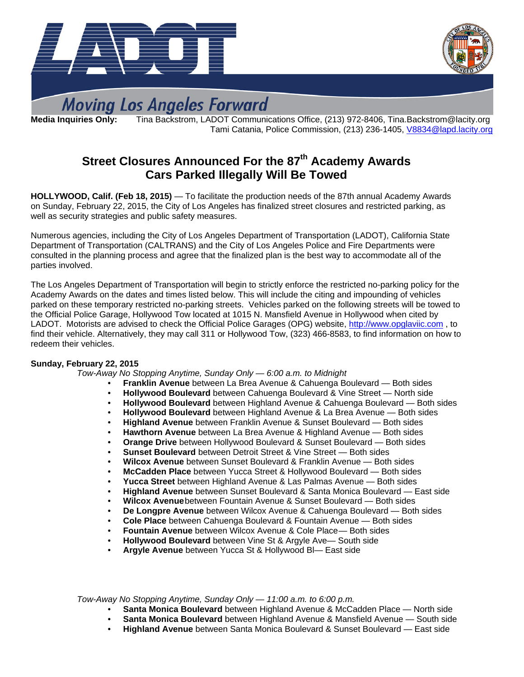



# **Moving Los Angeles Forward**

**Media Inquiries Only:** Tina Backstrom, LADOT Communications Office, (213) 972-8406, Tina.Backstrom@lacity.org Tami Catania, Police Commission, (213) 236-1405, [V8834@lapd.lacity.org](mailto:V8834@lapd.lacity.org) 

# **Street Closures Announced For the 87th Academy Awards Cars Parked Illegally Will Be Towed**

**HOLLYWOOD, Calif. (Feb 18, 2015)** — To facilitate the production needs of the 87th annual Academy Awards on Sunday, February 22, 2015, the City of Los Angeles has finalized street closures and restricted parking, as well as security strategies and public safety measures.

Numerous agencies, including the City of Los Angeles Department of Transportation (LADOT), California State Department of Transportation (CALTRANS) and the City of Los Angeles Police and Fire Departments were consulted in the planning process and agree that the finalized plan is the best way to accommodate all of the parties involved.

The Los Angeles Department of Transportation will begin to strictly enforce the restricted no-parking policy for the Academy Awards on the dates and times listed below. This will include the citing and impounding of vehicles parked on these temporary restricted no-parking streets. Vehicles parked on the following streets will be towed to the Official Police Garage, Hollywood Tow located at 1015 N. Mansfield Avenue in Hollywood when cited by LADOT. Motorists are advised to check the Official Police Garages (OPG) website, [http://www.opglaviic.com](http://www.opglaviic.com/), to find their vehicle. Alternatively, they may call 311 or Hollywood Tow, (323) 466-8583, to find information on how to redeem their vehicles.

## **Sunday, February 22, 2015**

 *Tow-Away No Stopping Anytime, Sunday Only — 6:00 a.m. to Midnight* 

- **Franklin Avenue** between La Brea Avenue & Cahuenga Boulevard Both sides
- **Hollywood Boulevard** between Cahuenga Boulevard & Vine Street North side
- **Hollywood Boulevard** between Highland Avenue & Cahuenga Boulevard Both sides
- **Hollywood Boulevard** between Highland Avenue & La Brea Avenue Both sides
- **Highland Avenue** between Franklin Avenue & Sunset Boulevard Both sides
- **Hawthorn Avenue** between La Brea Avenue & Highland Avenue Both sides
- **Orange Drive** between Hollywood Boulevard & Sunset Boulevard Both sides
- **Sunset Boulevard** between Detroit Street & Vine Street Both sides
- **Wilcox Avenue** between Sunset Boulevard & Franklin Avenue Both sides
- **McCadden Place** between Yucca Street & Hollywood Boulevard Both sides
- **Yucca Street** between Highland Avenue & Las Palmas Avenue Both sides
- **Highland Avenue** between Sunset Boulevard & Santa Monica Boulevard East side
- **Wilcox Avenue** between Fountain Avenue & Sunset Boulevard Both sides
- **De Longpre Avenue** between Wilcox Avenue & Cahuenga Boulevard Both sides
- **Cole Place** between Cahuenga Boulevard & Fountain Avenue Both sides
- **Fountain Avenue** between Wilcox Avenue & Cole Place Both sides
- **Hollywood Boulevard** between Vine St & Argyle Ave— South side
- **Argyle Avenue** between Yucca St & Hollywood Bl— East side

 *Tow-Away No Stopping Anytime, Sunday Only — 11:00 a.m. to 6:00 p.m.* 

- **Santa Monica Boulevard** between Highland Avenue & McCadden Place North side
- **Santa Monica Boulevard** between Highland Avenue & Mansfield Avenue South side
- **Highland Avenue** between Santa Monica Boulevard & Sunset Boulevard East side